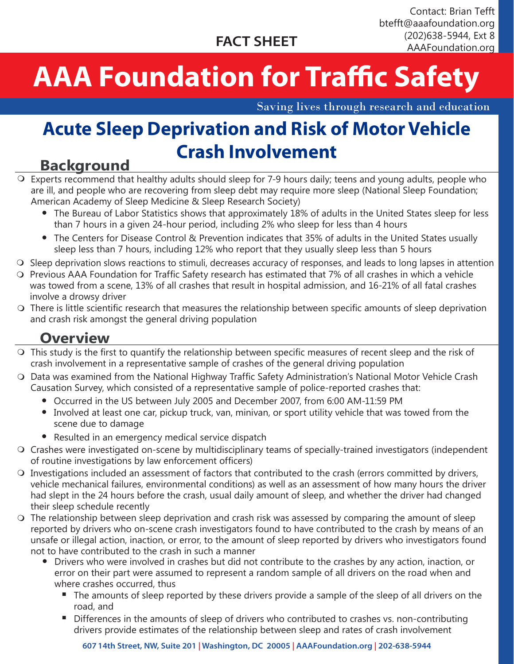# **AAA Foundation for Traffic Safety**

Saving lives through research and education

## **Acute Sleep Deprivation and Risk of Motor Vehicle Crash Involvement**

#### **Background**

- O Experts recommend that healthy adults should sleep for 7-9 hours daily; teens and young adults, people who are ill, and people who are recovering from sleep debt may require more sleep (National Sleep Foundation; American Academy of Sleep Medicine & Sleep Research Society)
	- The Bureau of Labor Statistics shows that approximately 18% of adults in the United States sleep for less l than 7 hours in a given 24-hour period, including 2% who sleep for less than 4 hours
	- The Centers for Disease Control & Prevention indicates that 35% of adults in the United States usually l sleep less than 7 hours, including 12% who report that they usually sleep less than 5 hours
- $\circ$  Sleep deprivation slows reactions to stimuli, decreases accuracy of responses, and leads to long lapses in attention
- $\circ$  Previous AAA Foundation for Traffic Safety research has estimated that 7% of all crashes in which a vehicle was towed from a scene, 13% of all crashes that result in hospital admission, and 16-21% of all fatal crashes involve a drowsy driver
- $\circ$  There is little scientific research that measures the relationship between specific amounts of sleep deprivation and crash risk amongst the general driving population

#### **Overview**

- $\circ$  This study is the first to quantify the relationship between specific measures of recent sleep and the risk of crash involvement in a representative sample of crashes of the general driving population
- O Data was examined from the National Highway Traffic Safety Administration's National Motor Vehicle Crash Causation Survey, which consisted of a representative sample of police-reported crashes that:
	- $\bullet$  Occurred in the US between July 2005 and December 2007, from 6:00 AM-11:59 PM
	- $\bullet~$  Involved at least one car, pickup truck, van, minivan, or sport utility vehicle that was towed from the scene due to damage
	- $\bullet$  Resulted in an emergency medical service dispatch
- O Crashes were investigated on-scene by multidisciplinary teams of specially-trained investigators (independent of routine investigations by law enforcement officers)
- $\circ$  Investigations included an assessment of factors that contributed to the crash (errors committed by drivers, vehicle mechanical failures, environmental conditions) as well as an assessment of how many hours the driver had slept in the 24 hours before the crash, usual daily amount of sleep, and whether the driver had changed their sleep schedule recently
- $\circ$  The relationship between sleep deprivation and crash risk was assessed by comparing the amount of sleep reported by drivers who on-scene crash investigators found to have contributed to the crash by means of an unsafe or illegal action, inaction, or error, to the amount of sleep reported by drivers who investigators found not to have contributed to the crash in such a manner
	- l Drivers who were involved in crashes but did not contribute to the crashes by any action, inaction, or error on their part were assumed to represent a random sample of all drivers on the road when and where crashes occurred, thus
		- $\hspace{0.1mm}$  The amounts of sleep reported by these drivers provide a sample of the sleep of all drivers on the road, and
		- $\textcolor{black}{\blacksquare}$  Differences in the amounts of sleep of drivers who contributed to crashes vs. non-contributing drivers provide estimates of the relationship between sleep and rates of crash involvement

**607 14th Street, NW, Suite 201 | Washington, DC 20005 | AAAFoundation.org | 202-638-5944**